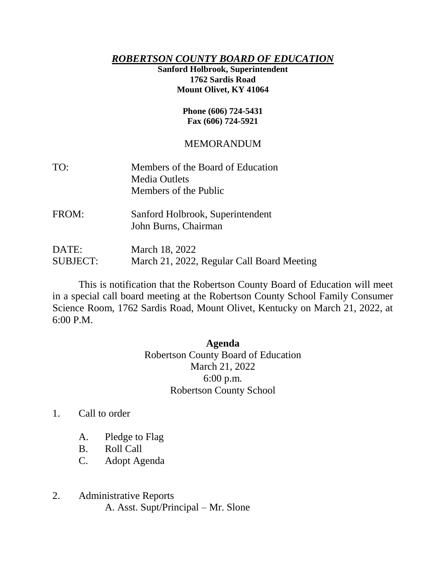## *ROBERTSON COUNTY BOARD OF EDUCATION*

#### **Sanford Holbrook, Superintendent 1762 Sardis Road Mount Olivet, KY 41064**

#### **Phone (606) 724-5431 Fax (606) 724-5921**

# MEMORANDUM

| TO:   | Members of the Board of Education<br><b>Media Outlets</b><br>Members of the Public |
|-------|------------------------------------------------------------------------------------|
| FROM: | Sanford Holbrook, Superintendent<br>John Burns, Chairman                           |

DATE: March 18, 2022 SUBJECT: March 21, 2022, Regular Call Board Meeting

This is notification that the Robertson County Board of Education will meet in a special call board meeting at the Robertson County School Family Consumer Science Room, 1762 Sardis Road, Mount Olivet, Kentucky on March 21, 2022, at 6:00 P.M.

### **Agenda**

Robertson County Board of Education March 21, 2022 6:00 p.m. Robertson County School

- 1. Call to order
	- A. Pledge to Flag
	- B. Roll Call
	- C. Adopt Agenda
- 2. Administrative Reports A. Asst. Supt/Principal – Mr. Slone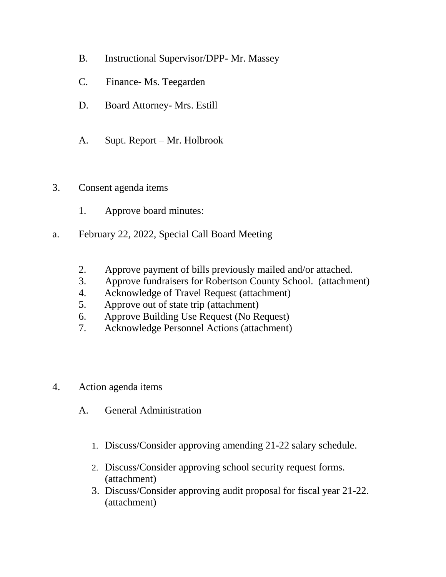- B. Instructional Supervisor/DPP- Mr. Massey
- C. Finance- Ms. Teegarden
- D. Board Attorney- Mrs. Estill
- A. Supt. Report Mr. Holbrook
- 3. Consent agenda items
	- 1. Approve board minutes:
- a. February 22, 2022, Special Call Board Meeting
	- 2. Approve payment of bills previously mailed and/or attached.
	- 3. Approve fundraisers for Robertson County School. (attachment)
	- 4. Acknowledge of Travel Request (attachment)
	- 5. Approve out of state trip (attachment)
	- 6. Approve Building Use Request (No Request)
	- 7. Acknowledge Personnel Actions (attachment)
- 4. Action agenda items
	- A. General Administration
		- 1. Discuss/Consider approving amending 21-22 salary schedule.
		- 2. Discuss/Consider approving school security request forms. (attachment)
		- 3. Discuss/Consider approving audit proposal for fiscal year 21-22. (attachment)